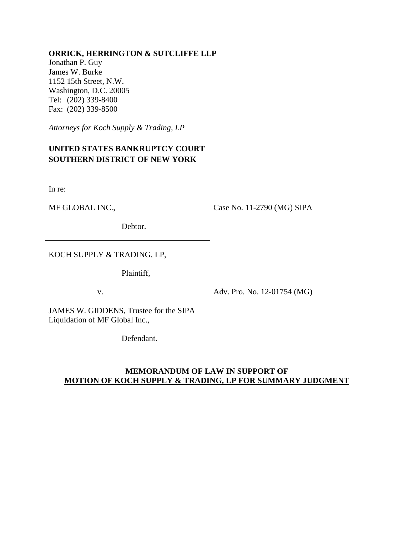## **ORRICK, HERRINGTON & SUTCLIFFE LLP**

Jonathan P. Guy James W. Burke 1152 15th Street, N.W. Washington, D.C. 20005 Tel: (202) 339-8400 Fax: (202) 339-8500

*Attorneys for Koch Supply & Trading, LP*

# **UNITED STATES BANKRUPTCY COURT SOUTHERN DISTRICT OF NEW YORK**

| In re:                                                                   |                             |
|--------------------------------------------------------------------------|-----------------------------|
| MF GLOBAL INC.,                                                          | Case No. 11-2790 (MG) SIPA  |
| Debtor.                                                                  |                             |
| KOCH SUPPLY & TRADING, LP,                                               |                             |
| Plaintiff,<br>V.                                                         | Adv. Pro. No. 12-01754 (MG) |
| JAMES W. GIDDENS, Trustee for the SIPA<br>Liquidation of MF Global Inc., |                             |
| Defendant.                                                               |                             |

## **MEMORANDUM OF LAW IN SUPPORT OF MOTION OF KOCH SUPPLY & TRADING, LP FOR SUMMARY JUDGMENT**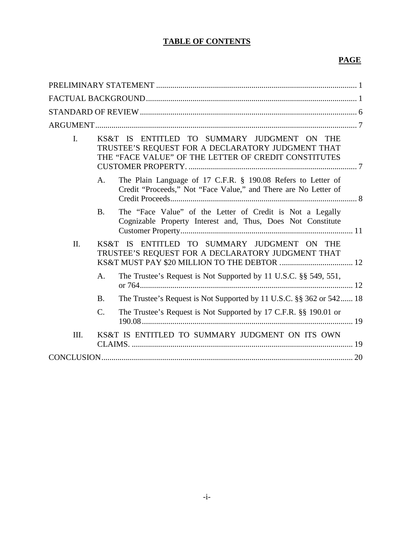# **TABLE OF CONTENTS**

# **PAGE**

| $\mathbf{I}$ .  |    | KS&T IS ENTITLED TO SUMMARY JUDGMENT ON THE<br>TRUSTEE'S REQUEST FOR A DECLARATORY JUDGMENT THAT<br>THE "FACE VALUE" OF THE LETTER OF CREDIT CONSTITUTES |  |
|-----------------|----|----------------------------------------------------------------------------------------------------------------------------------------------------------|--|
|                 | A. | The Plain Language of 17 C.F.R. § 190.08 Refers to Letter of<br>Credit "Proceeds," Not "Face Value," and There are No Letter of                          |  |
| <b>B.</b>       |    | The "Face Value" of the Letter of Credit is Not a Legally<br>Cognizable Property Interest and, Thus, Does Not Constitute                                 |  |
| II.             |    | KS&T IS ENTITLED TO SUMMARY JUDGMENT ON THE<br>TRUSTEE'S REQUEST FOR A DECLARATORY JUDGMENT THAT                                                         |  |
|                 | A. | The Trustee's Request is Not Supported by 11 U.S.C. §§ 549, 551,                                                                                         |  |
| <b>B.</b>       |    | The Trustee's Request is Not Supported by 11 U.S.C. §§ 362 or 542 18                                                                                     |  |
| $\mathcal{C}$ . |    | The Trustee's Request is Not Supported by 17 C.F.R. §§ 190.01 or                                                                                         |  |
| III.            |    | KS&T IS ENTITLED TO SUMMARY JUDGMENT ON ITS OWN                                                                                                          |  |
|                 |    |                                                                                                                                                          |  |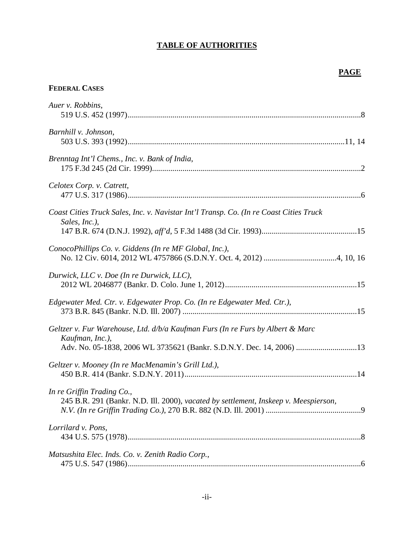# **TABLE OF AUTHORITIES**

# **PAGE**

# **FEDERAL CASES**

| Auer v. Robbins,                                                                                                                                                          |
|---------------------------------------------------------------------------------------------------------------------------------------------------------------------------|
| Barnhill v. Johnson,                                                                                                                                                      |
| Brenntag Int'l Chems., Inc. v. Bank of India,                                                                                                                             |
| Celotex Corp. v. Catrett,                                                                                                                                                 |
| Coast Cities Truck Sales, Inc. v. Navistar Int'l Transp. Co. (In re Coast Cities Truck<br>Sales, Inc.),                                                                   |
| ConocoPhillips Co. v. Giddens (In re MF Global, Inc.),                                                                                                                    |
| Durwick, LLC v. Doe (In re Durwick, LLC),                                                                                                                                 |
| Edgewater Med. Ctr. v. Edgewater Prop. Co. (In re Edgewater Med. Ctr.),                                                                                                   |
| Geltzer v. Fur Warehouse, Ltd. d/b/a Kaufman Furs (In re Furs by Albert & Marc<br>Kaufman, Inc.),<br>Adv. No. 05-1838, 2006 WL 3735621 (Bankr. S.D.N.Y. Dec. 14, 2006) 13 |
| Geltzer v. Mooney (In re MacMenamin's Grill Ltd.),                                                                                                                        |
| In re Griffin Trading Co.,<br>245 B.R. 291 (Bankr. N.D. Ill. 2000), vacated by settlement, Inskeep v. Meespierson,                                                        |
| Lorrilard v. Pons,                                                                                                                                                        |
| Matsushita Elec. Inds. Co. v. Zenith Radio Corp.,                                                                                                                         |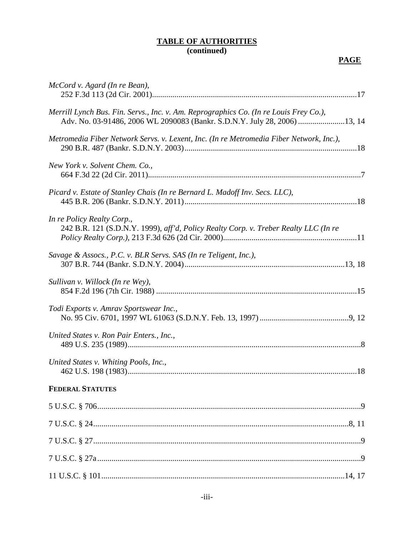## **TABLE OF AUTHORITIES (continued)**

# **PAGE**

| McCord v. Agard (In re Bean),                                                                                                                                      |
|--------------------------------------------------------------------------------------------------------------------------------------------------------------------|
| Merrill Lynch Bus. Fin. Servs., Inc. v. Am. Reprographics Co. (In re Louis Frey Co.),<br>Adv. No. 03-91486, 2006 WL 2090083 (Bankr. S.D.N.Y. July 28, 2006) 13, 14 |
| Metromedia Fiber Network Servs. v. Lexent, Inc. (In re Metromedia Fiber Network, Inc.),                                                                            |
| New York v. Solvent Chem. Co.,                                                                                                                                     |
| Picard v. Estate of Stanley Chais (In re Bernard L. Madoff Inv. Secs. LLC),                                                                                        |
| In re Policy Realty Corp.,<br>242 B.R. 121 (S.D.N.Y. 1999), aff'd, Policy Realty Corp. v. Treber Realty LLC (In re                                                 |
| Savage & Assocs., P.C. v. BLR Servs. SAS (In re Teligent, Inc.),                                                                                                   |
| Sullivan v. Willock (In re Wey),                                                                                                                                   |
| Todi Exports v. Amrav Sportswear Inc.,                                                                                                                             |
| United States v. Ron Pair Enters., Inc.,                                                                                                                           |
| United States v. Whiting Pools, Inc.,                                                                                                                              |
| <b>FEDERAL STATUTES</b>                                                                                                                                            |
|                                                                                                                                                                    |
|                                                                                                                                                                    |
|                                                                                                                                                                    |
|                                                                                                                                                                    |
|                                                                                                                                                                    |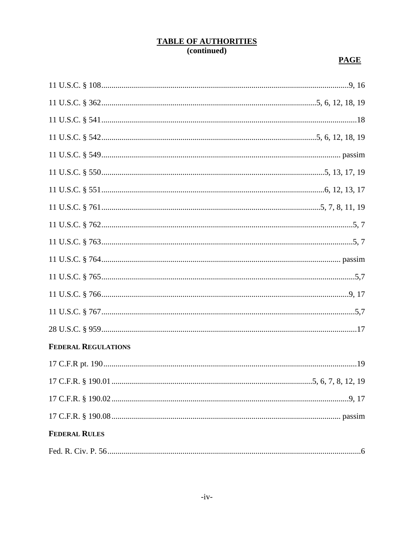# TABLE OF AUTHORITIES<br>(continued)

# **PAGE**

| <b>FEDERAL REGULATIONS</b> |  |
|----------------------------|--|
|                            |  |
|                            |  |
|                            |  |
|                            |  |
| <b>FEDERAL RULES</b>       |  |
|                            |  |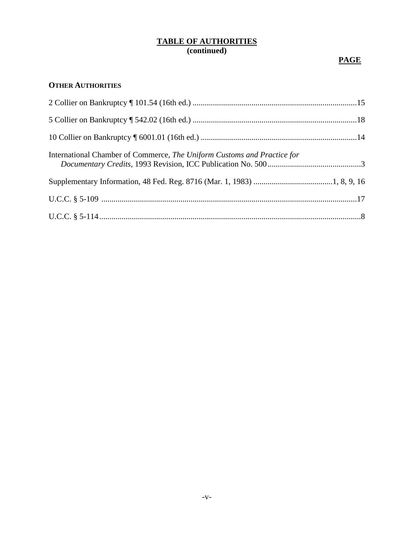## **TABLE OF AUTHORITIES (continued)**

# **PAGE**

## **OTHER AUTHORITIES**

| International Chamber of Commerce, The Uniform Customs and Practice for |  |
|-------------------------------------------------------------------------|--|
|                                                                         |  |
|                                                                         |  |
|                                                                         |  |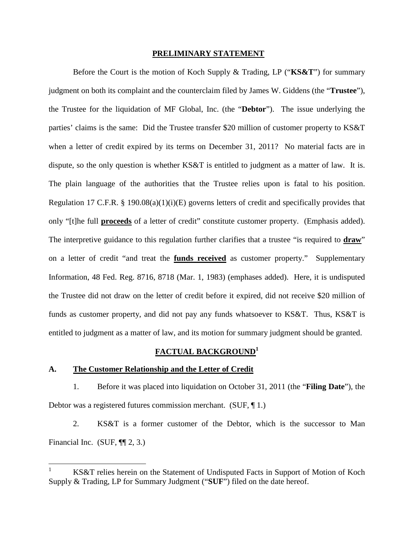#### **PRELIMINARY STATEMENT**

Before the Court is the motion of Koch Supply & Trading, LP ("**KS&T**") for summary judgment on both its complaint and the counterclaim filed by James W. Giddens (the "**Trustee**"), the Trustee for the liquidation of MF Global, Inc. (the "**Debtor**"). The issue underlying the parties' claims is the same: Did the Trustee transfer \$20 million of customer property to KS&T when a letter of credit expired by its terms on December 31, 2011? No material facts are in dispute, so the only question is whether KS&T is entitled to judgment as a matter of law. It is. The plain language of the authorities that the Trustee relies upon is fatal to his position. Regulation 17 C.F.R. § 190.08(a)(1)(i)(E) governs letters of credit and specifically provides that only "[t]he full **proceeds** of a letter of credit" constitute customer property. (Emphasis added). The interpretive guidance to this regulation further clarifies that a trustee "is required to **draw**" on a letter of credit "and treat the **funds received** as customer property." Supplementary Information, 48 Fed. Reg. 8716, 8718 (Mar. 1, 1983) (emphases added). Here, it is undisputed the Trustee did not draw on the letter of credit before it expired, did not receive \$20 million of funds as customer property, and did not pay any funds whatsoever to KS&T. Thus, KS&T is entitled to judgment as a matter of law, and its motion for summary judgment should be granted.

#### **FACTUAL BACKGROUND<sup>1</sup>**

#### **A. The Customer Relationship and the Letter of Credit**

1. Before it was placed into liquidation on October 31, 2011 (the "**Filing Date**"), the Debtor was a registered futures commission merchant. (SUF, ¶ 1.)

2. KS&T is a former customer of the Debtor, which is the successor to Man Financial Inc. (SUF,  $\P$  $[2, 3.$ )

KS&T relies herein on the Statement of Undisputed Facts in Support of Motion of Koch Supply & Trading, LP for Summary Judgment ("**SUF**") filed on the date hereof.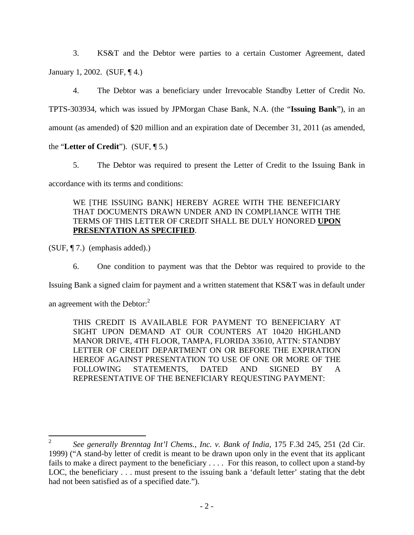3. KS&T and the Debtor were parties to a certain Customer Agreement, dated January 1, 2002. (SUF, ¶ 4.)

4. The Debtor was a beneficiary under Irrevocable Standby Letter of Credit No. TPTS-303934, which was issued by JPMorgan Chase Bank, N.A. (the "**Issuing Bank**"), in an amount (as amended) of \$20 million and an expiration date of December 31, 2011 (as amended,

the "**Letter of Credit**"). (SUF, ¶ 5.)

5. The Debtor was required to present the Letter of Credit to the Issuing Bank in accordance with its terms and conditions:

## WE [THE ISSUING BANK] HEREBY AGREE WITH THE BENEFICIARY THAT DOCUMENTS DRAWN UNDER AND IN COMPLIANCE WITH THE TERMS OF THIS LETTER OF CREDIT SHALL BE DULY HONORED **UPON PRESENTATION AS SPECIFIED**.

(SUF, ¶ 7.) (emphasis added).)

6. One condition to payment was that the Debtor was required to provide to the

Issuing Bank a signed claim for payment and a written statement that KS&T was in default under

an agreement with the Debtor: $<sup>2</sup>$ </sup>

THIS CREDIT IS AVAILABLE FOR PAYMENT TO BENEFICIARY AT SIGHT UPON DEMAND AT OUR COUNTERS AT 10420 HIGHLAND MANOR DRIVE, 4TH FLOOR, TAMPA, FLORIDA 33610, ATTN: STANDBY LETTER OF CREDIT DEPARTMENT ON OR BEFORE THE EXPIRATION HEREOF AGAINST PRESENTATION TO USE OF ONE OR MORE OF THE FOLLOWING STATEMENTS, DATED AND SIGNED BY A REPRESENTATIVE OF THE BENEFICIARY REQUESTING PAYMENT:

<sup>2</sup> *See generally Brenntag Int'l Chems., Inc. v. Bank of India*, 175 F.3d 245, 251 (2d Cir. 1999) ("A stand-by letter of credit is meant to be drawn upon only in the event that its applicant fails to make a direct payment to the beneficiary . . . . For this reason, to collect upon a stand-by LOC, the beneficiary . . . must present to the issuing bank a 'default letter' stating that the debt had not been satisfied as of a specified date.").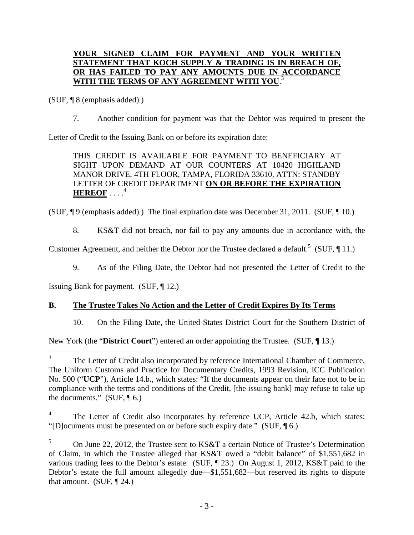## **YOUR SIGNED CLAIM FOR PAYMENT AND YOUR WRITTEN STATEMENT THAT KOCH SUPPLY & TRADING IS IN BREACH OF, OR HAS FAILED TO PAY ANY AMOUNTS DUE IN ACCORDANCE WITH THE TERMS OF ANY AGREEMENT WITH YOU**. 3

(SUF, ¶ 8 (emphasis added).)

7. Another condition for payment was that the Debtor was required to present the

Letter of Credit to the Issuing Bank on or before its expiration date:

THIS CREDIT IS AVAILABLE FOR PAYMENT TO BENEFICIARY AT SIGHT UPON DEMAND AT OUR COUNTERS AT 10420 HIGHLAND MANOR DRIVE, 4TH FLOOR, TAMPA, FLORIDA 33610, ATTN: STANDBY LETTER OF CREDIT DEPARTMENT **ON OR BEFORE THE EXPIRATION HEREOF** . . . . 4

(SUF, ¶ 9 (emphasis added).) The final expiration date was December 31, 2011. (SUF, ¶ 10.)

8. KS&T did not breach, nor fail to pay any amounts due in accordance with, the

Customer Agreement, and neither the Debtor nor the Trustee declared a default.<sup>5</sup> (SUF, 11.)

9. As of the Filing Date, the Debtor had not presented the Letter of Credit to the

Issuing Bank for payment. (SUF, ¶ 12.)

## **B. The Trustee Takes No Action and the Letter of Credit Expires By Its Terms**

10. On the Filing Date, the United States District Court for the Southern District of

New York (the "**District Court**") entered an order appointing the Trustee. (SUF, ¶ 13.)

<sup>3</sup> The Letter of Credit also incorporated by reference International Chamber of Commerce, The Uniform Customs and Practice for Documentary Credits, 1993 Revision, ICC Publication No. 500 ("**UCP**"), Article 14.b., which states: "If the documents appear on their face not to be in compliance with the terms and conditions of the Credit, [the issuing bank] may refuse to take up the documents."  $(SUF, \P 6.)$ 

<sup>4</sup> The Letter of Credit also incorporates by reference UCP, Article 42.b, which states: "[D]ocuments must be presented on or before such expiry date." (SUF, ¶ 6.)

<sup>&</sup>lt;sup>5</sup> On June 22, 2012, the Trustee sent to KS&T a certain Notice of Trustee's Determination of Claim, in which the Trustee alleged that KS&T owed a "debit balance" of \$1,551,682 in various trading fees to the Debtor's estate. (SUF, ¶ 23.) On August 1, 2012, KS&T paid to the Debtor's estate the full amount allegedly due—\$1,551,682—but reserved its rights to dispute that amount. (SUF,  $\P$  24.)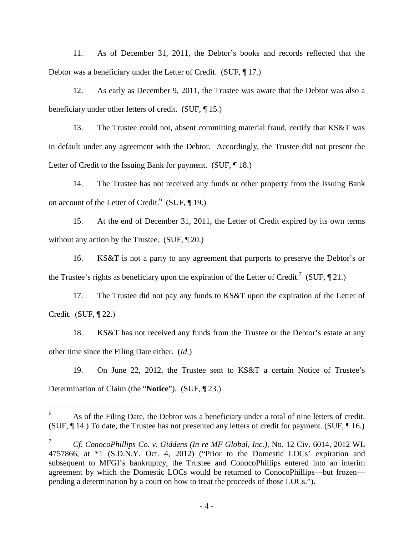11. As of December 31, 2011, the Debtor's books and records reflected that the Debtor was a beneficiary under the Letter of Credit. (SUF, ¶ 17.)

12. As early as December 9, 2011, the Trustee was aware that the Debtor was also a beneficiary under other letters of credit. (SUF, ¶ 15.)

13. The Trustee could not, absent committing material fraud, certify that KS&T was in default under any agreement with the Debtor. Accordingly, the Trustee did not present the Letter of Credit to the Issuing Bank for payment. (SUF, 18.)

14. The Trustee has not received any funds or other property from the Issuing Bank on account of the Letter of Credit.<sup>6</sup> (SUF,  $\P$  19.)

15. At the end of December 31, 2011, the Letter of Credit expired by its own terms without any action by the Trustee. (SUF,  $\P$  20.)

16. KS&T is not a party to any agreement that purports to preserve the Debtor's or the Trustee's rights as beneficiary upon the expiration of the Letter of Credit.<sup>7</sup> (SUF, 121.)

17. The Trustee did not pay any funds to KS&T upon the expiration of the Letter of Credit. (SUF, ¶ 22.)

18. KS&T has not received any funds from the Trustee or the Debtor's estate at any other time since the Filing Date either. (*Id*.)

19. On June 22, 2012, the Trustee sent to KS&T a certain Notice of Trustee's Determination of Claim (the "**Notice**"). (SUF, ¶ 23.)

<sup>&</sup>lt;sup>6</sup> As of the Filing Date, the Debtor was a beneficiary under a total of nine letters of credit. (SUF, ¶ 14.) To date, the Trustee has not presented any letters of credit for payment. (SUF, ¶ 16.)

<sup>7</sup> *Cf. ConocoPhillips Co. v. Giddens (In re MF Global, Inc.)*, No. 12 Civ. 6014, 2012 WL 4757866, at \*1 (S.D.N.Y. Oct. 4, 2012) ("Prior to the Domestic LOCs' expiration and subsequent to MFGI's bankruptcy, the Trustee and ConocoPhillips entered into an interim agreement by which the Domestic LOCs would be returned to ConocoPhillips—but frozen pending a determination by a court on how to treat the proceeds of those LOCs.").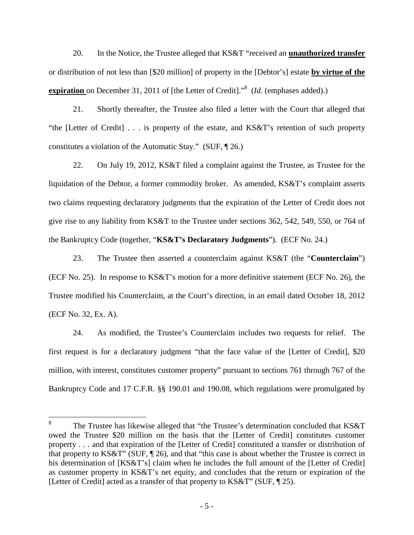20. In the Notice, the Trustee alleged that KS&T "received an **unauthorized transfer** or distribution of not less than [\$20 million] of property in the [Debtor's] estate **by virtue of the expiration** on December 31, 2011 of [the Letter of Credit]."<sup>8</sup> (*Id.* (emphases added).)

21. Shortly thereafter, the Trustee also filed a letter with the Court that alleged that "the [Letter of Credit] . . . is property of the estate, and KS&T's retention of such property constitutes a violation of the Automatic Stay." (SUF, ¶ 26.)

22. On July 19, 2012, KS&T filed a complaint against the Trustee, as Trustee for the liquidation of the Debtor, a former commodity broker. As amended, KS&T's complaint asserts two claims requesting declaratory judgments that the expiration of the Letter of Credit does not give rise to any liability from KS&T to the Trustee under sections 362, 542, 549, 550, or 764 of the Bankruptcy Code (together, "**KS&T's Declaratory Judgments**"). (ECF No. 24.)

23. The Trustee then asserted a counterclaim against KS&T (the "**Counterclaim**") (ECF No. 25). In response to KS&T's motion for a more definitive statement (ECF No. 26), the Trustee modified his Counterclaim, at the Court's direction, in an email dated October 18, 2012 (ECF No. 32, Ex. A).

24. As modified, the Trustee's Counterclaim includes two requests for relief. The first request is for a declaratory judgment "that the face value of the [Letter of Credit], \$20 million, with interest, constitutes customer property" pursuant to sections 761 through 767 of the Bankruptcy Code and 17 C.F.R. §§ 190.01 and 190.08, which regulations were promulgated by

<sup>8</sup> The Trustee has likewise alleged that "the Trustee's determination concluded that KS&T owed the Trustee \$20 million on the basis that the [Letter of Credit] constitutes customer property . . . and that expiration of the [Letter of Credit] constituted a transfer or distribution of that property to KS&T" (SUF, ¶ 26), and that "this case is about whether the Trustee is correct in his determination of [KS&T's] claim when he includes the full amount of the [Letter of Credit] as customer property in KS&T's net equity, and concludes that the return or expiration of the [Letter of Credit] acted as a transfer of that property to KS&T" (SUF, ¶ 25).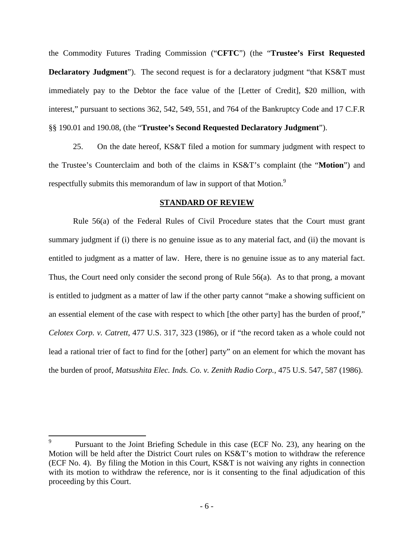the Commodity Futures Trading Commission ("**CFTC**") (the "**Trustee's First Requested Declaratory Judgment**"). The second request is for a declaratory judgment "that KS&T must immediately pay to the Debtor the face value of the [Letter of Credit], \$20 million, with interest," pursuant to sections 362, 542, 549, 551, and 764 of the Bankruptcy Code and 17 C.F.R §§ 190.01 and 190.08, (the "**Trustee's Second Requested Declaratory Judgment**").

25. On the date hereof, KS&T filed a motion for summary judgment with respect to the Trustee's Counterclaim and both of the claims in KS&T's complaint (the "**Motion**") and respectfully submits this memorandum of law in support of that Motion.<sup>9</sup>

#### **STANDARD OF REVIEW**

Rule 56(a) of the Federal Rules of Civil Procedure states that the Court must grant summary judgment if (i) there is no genuine issue as to any material fact, and (ii) the movant is entitled to judgment as a matter of law. Here, there is no genuine issue as to any material fact. Thus, the Court need only consider the second prong of Rule 56(a). As to that prong, a movant is entitled to judgment as a matter of law if the other party cannot "make a showing sufficient on an essential element of the case with respect to which [the other party] has the burden of proof," *Celotex Corp. v. Catrett*, 477 U.S. 317, 323 (1986), or if "the record taken as a whole could not lead a rational trier of fact to find for the [other] party" on an element for which the movant has the burden of proof, *Matsushita Elec. Inds. Co. v. Zenith Radio Corp.*, 475 U.S. 547, 587 (1986).

<sup>9</sup> Pursuant to the Joint Briefing Schedule in this case (ECF No. 23), any hearing on the Motion will be held after the District Court rules on KS&T's motion to withdraw the reference (ECF No. 4). By filing the Motion in this Court, KS&T is not waiving any rights in connection with its motion to withdraw the reference, nor is it consenting to the final adjudication of this proceeding by this Court.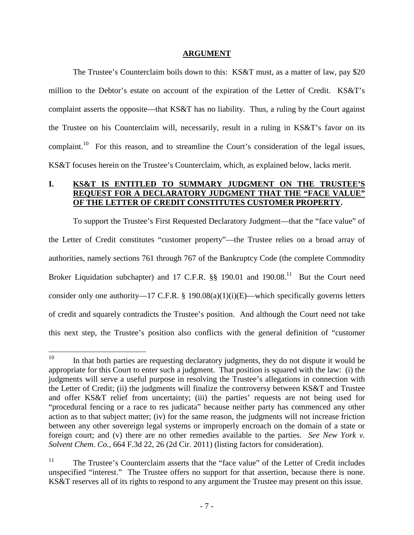#### **ARGUMENT**

The Trustee's Counterclaim boils down to this: KS&T must, as a matter of law, pay \$20 million to the Debtor's estate on account of the expiration of the Letter of Credit. KS&T's complaint asserts the opposite—that KS&T has no liability. Thus, a ruling by the Court against the Trustee on his Counterclaim will, necessarily, result in a ruling in KS&T's favor on its complaint.<sup>10</sup> For this reason, and to streamline the Court's consideration of the legal issues, KS&T focuses herein on the Trustee's Counterclaim, which, as explained below, lacks merit.

## **I. KS&T IS ENTITLED TO SUMMARY JUDGMENT ON THE TRUSTEE'S REQUEST FOR A DECLARATORY JUDGMENT THAT THE "FACE VALUE" OF THE LETTER OF CREDIT CONSTITUTES CUSTOMER PROPERTY.**

To support the Trustee's First Requested Declaratory Judgment—that the "face value" of the Letter of Credit constitutes "customer property"—the Trustee relies on a broad array of authorities, namely sections 761 through 767 of the Bankruptcy Code (the complete Commodity Broker Liquidation subchapter) and 17 C.F.R.  $\S$ § 190.01 and 190.08.<sup>11</sup> But the Court need consider only one authority—17 C.F.R. § 190.08(a)(1)(i)(E)—which specifically governs letters of credit and squarely contradicts the Trustee's position. And although the Court need not take this next step, the Trustee's position also conflicts with the general definition of "customer

 $10$  In that both parties are requesting declaratory judgments, they do not dispute it would be appropriate for this Court to enter such a judgment. That position is squared with the law: (i) the judgments will serve a useful purpose in resolving the Trustee's allegations in connection with the Letter of Credit; (ii) the judgments will finalize the controversy between KS&T and Trustee and offer KS&T relief from uncertainty; (iii) the parties' requests are not being used for "procedural fencing or a race to res judicata" because neither party has commenced any other action as to that subject matter; (iv) for the same reason, the judgments will not increase friction between any other sovereign legal systems or improperly encroach on the domain of a state or foreign court; and (v) there are no other remedies available to the parties. *See New York v. Solvent Chem. Co.*, 664 F.3d 22, 26 (2d Cir. 2011) (listing factors for consideration).

<sup>&</sup>lt;sup>11</sup> The Trustee's Counterclaim asserts that the "face value" of the Letter of Credit includes unspecified "interest." The Trustee offers no support for that assertion, because there is none. KS&T reserves all of its rights to respond to any argument the Trustee may present on this issue.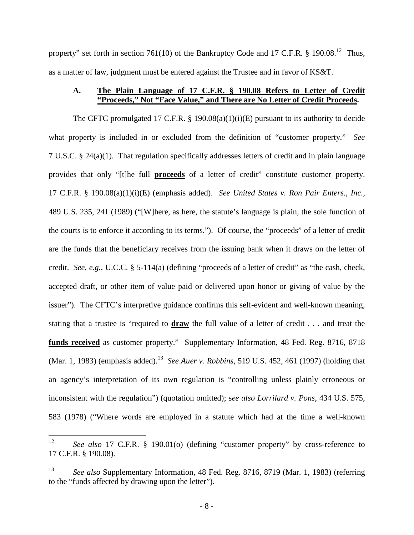property" set forth in section 761(10) of the Bankruptcy Code and 17 C.F.R.  $\frac{8}{190.08}$ .<sup>12</sup> Thus, as a matter of law, judgment must be entered against the Trustee and in favor of KS&T.

#### **A. The Plain Language of 17 C.F.R. § 190.08 Refers to Letter of Credit "Proceeds," Not "Face Value," and There are No Letter of Credit Proceeds.**

The CFTC promulgated 17 C.F.R.  $\S$  190.08(a)(1)(i)(E) pursuant to its authority to decide what property is included in or excluded from the definition of "customer property." *See* 7 U.S.C. § 24(a)(1). That regulation specifically addresses letters of credit and in plain language provides that only "[t]he full **proceeds** of a letter of credit" constitute customer property. 17 C.F.R. § 190.08(a)(1)(i)(E) (emphasis added). *See United States v. Ron Pair Enters., Inc.*, 489 U.S. 235, 241 (1989) ("[W]here, as here, the statute's language is plain, the sole function of the courts is to enforce it according to its terms."). Of course, the "proceeds" of a letter of credit are the funds that the beneficiary receives from the issuing bank when it draws on the letter of credit. *See, e.g.*, U.C.C. § 5-114(a) (defining "proceeds of a letter of credit" as "the cash, check, accepted draft, or other item of value paid or delivered upon honor or giving of value by the issuer"). The CFTC's interpretive guidance confirms this self-evident and well-known meaning, stating that a trustee is "required to **draw** the full value of a letter of credit . . . and treat the **funds received** as customer property." Supplementary Information, 48 Fed. Reg. 8716, 8718 (Mar. 1, 1983) (emphasis added).<sup>13</sup> *See Auer v. Robbins*, 519 U.S. 452, 461 (1997) (holding that an agency's interpretation of its own regulation is "controlling unless plainly erroneous or inconsistent with the regulation") (quotation omitted); s*ee also Lorrilard v. Pons*, 434 U.S. 575, 583 (1978) ("Where words are employed in a statute which had at the time a well-known

<sup>12</sup> *See also* 17 C.F.R. § 190.01(o) (defining "customer property" by cross-reference to 17 C.F.R. § 190.08).

<sup>13</sup> *See also* Supplementary Information, 48 Fed. Reg. 8716, 8719 (Mar. 1, 1983) (referring to the "funds affected by drawing upon the letter").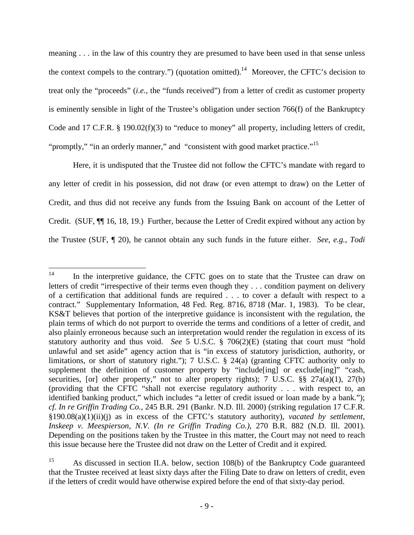meaning . . . in the law of this country they are presumed to have been used in that sense unless the context compels to the contrary.") (quotation omitted).<sup>14</sup> Moreover, the CFTC's decision to treat only the "proceeds" (*i.e.*, the "funds received") from a letter of credit as customer property is eminently sensible in light of the Trustee's obligation under section 766(f) of the Bankruptcy Code and 17 C.F.R. § 190.02(f)(3) to "reduce to money" all property, including letters of credit, "promptly," "in an orderly manner," and "consistent with good market practice."<sup>15</sup>

Here, it is undisputed that the Trustee did not follow the CFTC's mandate with regard to any letter of credit in his possession, did not draw (or even attempt to draw) on the Letter of Credit, and thus did not receive any funds from the Issuing Bank on account of the Letter of Credit. (SUF, ¶¶ 16, 18, 19.) Further, because the Letter of Credit expired without any action by the Trustee (SUF, ¶ 20), he cannot obtain any such funds in the future either. *See, e.g.*, *Todi*

<sup>&</sup>lt;sup>14</sup> In the interpretive guidance, the CFTC goes on to state that the Trustee can draw on letters of credit "irrespective of their terms even though they . . . condition payment on delivery of a certification that additional funds are required . . . to cover a default with respect to a contract." Supplementary Information, 48 Fed. Reg. 8716, 8718 (Mar. 1, 1983). To be clear, KS&T believes that portion of the interpretive guidance is inconsistent with the regulation, the plain terms of which do not purport to override the terms and conditions of a letter of credit, and also plainly erroneous because such an interpretation would render the regulation in excess of its statutory authority and thus void. *See* 5 U.S.C. § 706(2)(E) (stating that court must "hold unlawful and set aside" agency action that is "in excess of statutory jurisdiction, authority, or limitations, or short of statutory right."); 7 U.S.C. § 24(a) (granting CFTC authority only to supplement the definition of customer property by "include[ing] or exclude[ing]" "cash, securities, [or] other property," not to alter property rights); 7 U.S.C.  $\S$ § 27a(a)(1), 27(b) (providing that the CFTC "shall not exercise regulatory authority . . . with respect to, an identified banking product," which includes "a letter of credit issued or loan made by a bank."); *cf. In re Griffin Trading Co.*, 245 B.R. 291 (Bankr. N.D. Ill. 2000) (striking regulation 17 C.F.R. §190.08(a)(1)(ii)(j) as in excess of the CFTC's statutory authority), *vacated by settlement*, *Inskeep v. Meespierson, N.V. (In re Griffin Trading Co.)*, 270 B.R. 882 (N.D. Ill. 2001). Depending on the positions taken by the Trustee in this matter, the Court may not need to reach this issue because here the Trustee did not draw on the Letter of Credit and it expired.

<sup>15</sup> As discussed in section II.A. below, section 108(b) of the Bankruptcy Code guaranteed that the Trustee received at least sixty days after the Filing Date to draw on letters of credit, even if the letters of credit would have otherwise expired before the end of that sixty-day period.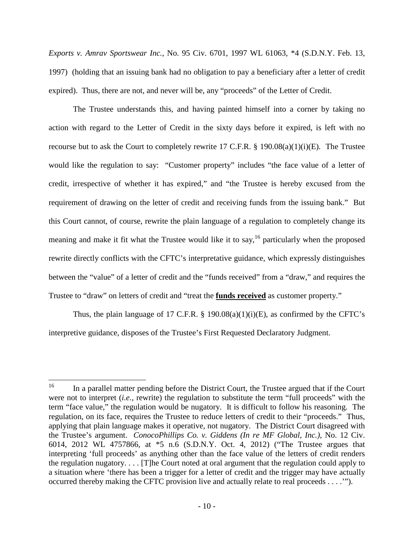*Exports v. Amrav Sportswear Inc.*, No. 95 Civ. 6701, 1997 WL 61063, \*4 (S.D.N.Y. Feb. 13, 1997) (holding that an issuing bank had no obligation to pay a beneficiary after a letter of credit expired). Thus, there are not, and never will be, any "proceeds" of the Letter of Credit.

The Trustee understands this, and having painted himself into a corner by taking no action with regard to the Letter of Credit in the sixty days before it expired, is left with no recourse but to ask the Court to completely rewrite 17 C.F.R.  $\S$  190.08(a)(1)(i)(E). The Trustee would like the regulation to say: "Customer property" includes "the face value of a letter of credit, irrespective of whether it has expired," and "the Trustee is hereby excused from the requirement of drawing on the letter of credit and receiving funds from the issuing bank." But this Court cannot, of course, rewrite the plain language of a regulation to completely change its meaning and make it fit what the Trustee would like it to say,  $16$  particularly when the proposed rewrite directly conflicts with the CFTC's interpretative guidance, which expressly distinguishes between the "value" of a letter of credit and the "funds received" from a "draw," and requires the Trustee to "draw" on letters of credit and "treat the **funds received** as customer property."

Thus, the plain language of 17 C.F.R.  $\S$  190.08(a)(1)(i)(E), as confirmed by the CFTC's interpretive guidance, disposes of the Trustee's First Requested Declaratory Judgment.

<sup>&</sup>lt;sup>16</sup> In a parallel matter pending before the District Court, the Trustee argued that if the Court were not to interpret (*i.e.*, rewrite) the regulation to substitute the term "full proceeds" with the term "face value," the regulation would be nugatory. It is difficult to follow his reasoning. The regulation, on its face, requires the Trustee to reduce letters of credit to their "proceeds." Thus, applying that plain language makes it operative, not nugatory. The District Court disagreed with the Trustee's argument. *ConocoPhillips Co. v. Giddens (In re MF Global, Inc.)*, No. 12 Civ. 6014, 2012 WL 4757866, at \*5 n.6 (S.D.N.Y. Oct. 4, 2012) ("The Trustee argues that interpreting 'full proceeds' as anything other than the face value of the letters of credit renders the regulation nugatory. . . . [T]he Court noted at oral argument that the regulation could apply to a situation where 'there has been a trigger for a letter of credit and the trigger may have actually occurred thereby making the CFTC provision live and actually relate to real proceeds . . . .'").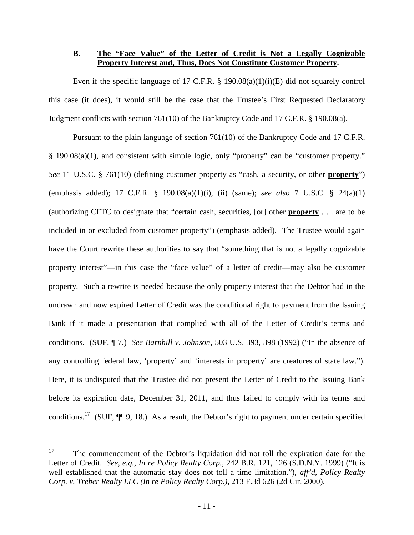#### **B. The "Face Value" of the Letter of Credit is Not a Legally Cognizable Property Interest and, Thus, Does Not Constitute Customer Property.**

Even if the specific language of 17 C.F.R.  $\S$  190.08(a)(1)(i)(E) did not squarely control this case (it does), it would still be the case that the Trustee's First Requested Declaratory Judgment conflicts with section 761(10) of the Bankruptcy Code and 17 C.F.R. § 190.08(a).

Pursuant to the plain language of section 761(10) of the Bankruptcy Code and 17 C.F.R. § 190.08(a)(1), and consistent with simple logic, only "property" can be "customer property." *See* 11 U.S.C. § 761(10) (defining customer property as "cash, a security, or other **property**") (emphasis added); 17 C.F.R. § 190.08(a)(1)(i), (ii) (same); *see also* 7 U.S.C. § 24(a)(1) (authorizing CFTC to designate that "certain cash, securities, [or] other **property** . . . are to be included in or excluded from customer property") (emphasis added). The Trustee would again have the Court rewrite these authorities to say that "something that is not a legally cognizable property interest"—in this case the "face value" of a letter of credit—may also be customer property. Such a rewrite is needed because the only property interest that the Debtor had in the undrawn and now expired Letter of Credit was the conditional right to payment from the Issuing Bank if it made a presentation that complied with all of the Letter of Credit's terms and conditions. (SUF, ¶ 7.) *See Barnhill v. Johnson*, 503 U.S. 393, 398 (1992) ("In the absence of any controlling federal law, 'property' and 'interests in property' are creatures of state law."). Here, it is undisputed that the Trustee did not present the Letter of Credit to the Issuing Bank before its expiration date, December 31, 2011, and thus failed to comply with its terms and conditions.<sup>17</sup> (SUF,  $\P$ ] 9, 18.) As a result, the Debtor's right to payment under certain specified

<sup>&</sup>lt;sup>17</sup> The commencement of the Debtor's liquidation did not toll the expiration date for the Letter of Credit. *See, e.g.*, *In re Policy Realty Corp.*, 242 B.R. 121, 126 (S.D.N.Y. 1999) ("It is well established that the automatic stay does not toll a time limitation."), *aff'd*, *Policy Realty Corp. v. Treber Realty LLC (In re Policy Realty Corp.)*, 213 F.3d 626 (2d Cir. 2000).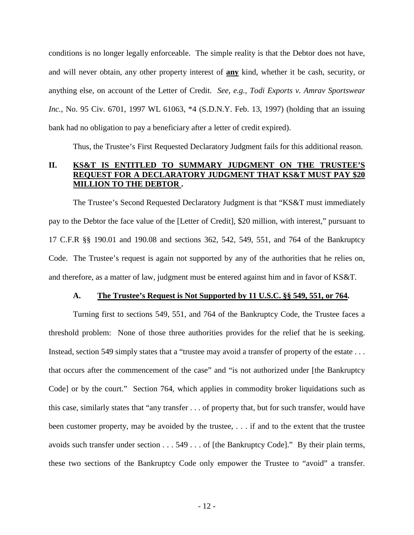conditions is no longer legally enforceable. The simple reality is that the Debtor does not have, and will never obtain, any other property interest of **any** kind, whether it be cash, security, or anything else, on account of the Letter of Credit. *See, e.g.*, *Todi Exports v. Amrav Sportswear Inc.*, No. 95 Civ. 6701, 1997 WL 61063, \*4 (S.D.N.Y. Feb. 13, 1997) (holding that an issuing bank had no obligation to pay a beneficiary after a letter of credit expired).

Thus, the Trustee's First Requested Declaratory Judgment fails for this additional reason.

#### **II. KS&T IS ENTITLED TO SUMMARY JUDGMENT ON THE TRUSTEE'S REQUEST FOR A DECLARATORY JUDGMENT THAT KS&T MUST PAY \$20 MILLION TO THE DEBTOR .**

The Trustee's Second Requested Declaratory Judgment is that "KS&T must immediately pay to the Debtor the face value of the [Letter of Credit], \$20 million, with interest," pursuant to 17 C.F.R §§ 190.01 and 190.08 and sections 362, 542, 549, 551, and 764 of the Bankruptcy Code. The Trustee's request is again not supported by any of the authorities that he relies on, and therefore, as a matter of law, judgment must be entered against him and in favor of KS&T.

#### **A. The Trustee's Request is Not Supported by 11 U.S.C. §§ 549, 551, or 764.**

Turning first to sections 549, 551, and 764 of the Bankruptcy Code, the Trustee faces a threshold problem: None of those three authorities provides for the relief that he is seeking. Instead, section 549 simply states that a "trustee may avoid a transfer of property of the estate . . . that occurs after the commencement of the case" and "is not authorized under [the Bankruptcy Code] or by the court." Section 764, which applies in commodity broker liquidations such as this case, similarly states that "any transfer . . . of property that, but for such transfer, would have been customer property, may be avoided by the trustee, ... if and to the extent that the trustee avoids such transfer under section . . . 549 . . . of [the Bankruptcy Code]." By their plain terms, these two sections of the Bankruptcy Code only empower the Trustee to "avoid" a transfer.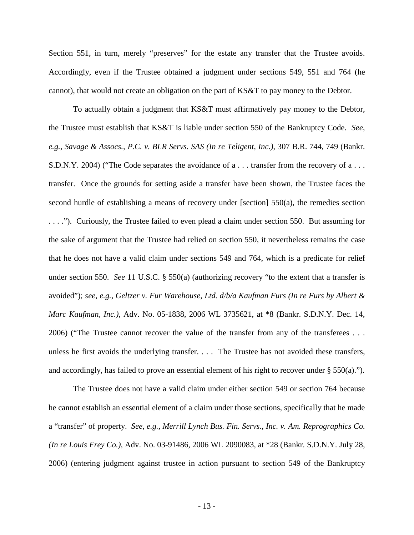Section 551, in turn, merely "preserves" for the estate any transfer that the Trustee avoids. Accordingly, even if the Trustee obtained a judgment under sections 549, 551 and 764 (he cannot), that would not create an obligation on the part of KS&T to pay money to the Debtor.

To actually obtain a judgment that KS&T must affirmatively pay money to the Debtor, the Trustee must establish that KS&T is liable under section 550 of the Bankruptcy Code. *See, e.g.*, *Savage & Assocs., P.C. v. BLR Servs. SAS (In re Teligent, Inc.)*, 307 B.R. 744, 749 (Bankr. S.D.N.Y. 2004) ("The Code separates the avoidance of a . . . transfer from the recovery of a . . . transfer. Once the grounds for setting aside a transfer have been shown, the Trustee faces the second hurdle of establishing a means of recovery under [section] 550(a), the remedies section . . . ."). Curiously, the Trustee failed to even plead a claim under section 550. But assuming for the sake of argument that the Trustee had relied on section 550, it nevertheless remains the case that he does not have a valid claim under sections 549 and 764, which is a predicate for relief under section 550. *See* 11 U.S.C. § 550(a) (authorizing recovery "to the extent that a transfer is avoided"); *see, e.g., Geltzer v. Fur Warehouse, Ltd. d/b/a Kaufman Furs (In re Furs by Albert & Marc Kaufman, Inc.)*, Adv. No. 05-1838, 2006 WL 3735621, at \*8 (Bankr. S.D.N.Y. Dec. 14, 2006) ("The Trustee cannot recover the value of the transfer from any of the transferees . . . unless he first avoids the underlying transfer. . . . The Trustee has not avoided these transfers, and accordingly, has failed to prove an essential element of his right to recover under  $\S$  550(a).").

The Trustee does not have a valid claim under either section 549 or section 764 because he cannot establish an essential element of a claim under those sections, specifically that he made a "transfer" of property. *See, e.g., Merrill Lynch Bus. Fin. Servs., Inc. v. Am. Reprographics Co. (In re Louis Frey Co.)*, Adv. No. 03-91486, 2006 WL 2090083, at \*28 (Bankr. S.D.N.Y. July 28, 2006) (entering judgment against trustee in action pursuant to section 549 of the Bankruptcy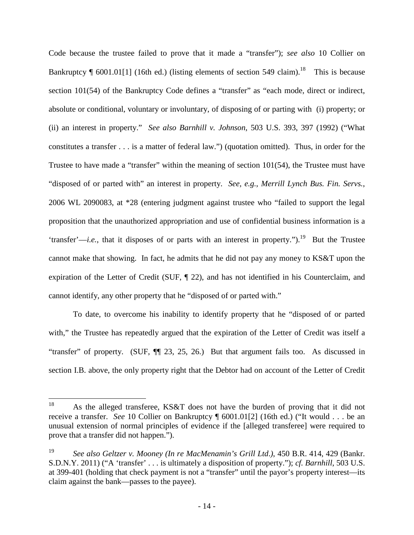Code because the trustee failed to prove that it made a "transfer"); *see also* 10 Collier on Bankruptcy  $\P$  6001.01[1] (16th ed.) (listing elements of section 549 claim).<sup>18</sup> This is because section 101(54) of the Bankruptcy Code defines a "transfer" as "each mode, direct or indirect, absolute or conditional, voluntary or involuntary, of disposing of or parting with (i) property; or (ii) an interest in property." *See also Barnhill v. Johnson*, 503 U.S. 393, 397 (1992) ("What constitutes a transfer . . . is a matter of federal law.") (quotation omitted). Thus, in order for the Trustee to have made a "transfer" within the meaning of section 101(54), the Trustee must have "disposed of or parted with" an interest in property. *See, e.g.*, *Merrill Lynch Bus. Fin. Servs.*, 2006 WL 2090083, at \*28 (entering judgment against trustee who "failed to support the legal proposition that the unauthorized appropriation and use of confidential business information is a 'transfer'—*i.e.*, that it disposes of or parts with an interest in property.").<sup>19</sup> But the Trustee cannot make that showing. In fact, he admits that he did not pay any money to KS&T upon the expiration of the Letter of Credit (SUF, ¶ 22), and has not identified in his Counterclaim, and cannot identify, any other property that he "disposed of or parted with."

To date, to overcome his inability to identify property that he "disposed of or parted with," the Trustee has repeatedly argued that the expiration of the Letter of Credit was itself a "transfer" of property. (SUF, ¶¶ 23, 25, 26.) But that argument fails too. As discussed in section I.B. above, the only property right that the Debtor had on account of the Letter of Credit

<sup>&</sup>lt;sup>18</sup> As the alleged transferee, KS&T does not have the burden of proving that it did not receive a transfer. *See* 10 Collier on Bankruptcy ¶ 6001.01[2] (16th ed.) ("It would . . . be an unusual extension of normal principles of evidence if the [alleged transferee] were required to prove that a transfer did not happen.").

<sup>19</sup> *See also Geltzer v. Mooney (In re MacMenamin's Grill Ltd*.*)*, 450 B.R. 414, 429 (Bankr. S.D.N.Y. 2011) ("A 'transfer' . . . is ultimately a disposition of property."); *cf. Barnhill*, 503 U.S. at 399-401 (holding that check payment is not a "transfer" until the payor's property interest—its claim against the bank—passes to the payee).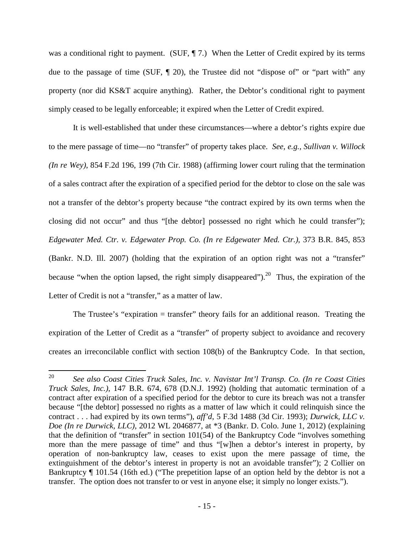was a conditional right to payment. (SUF,  $\P$  7.) When the Letter of Credit expired by its terms due to the passage of time (SUF, ¶ 20), the Trustee did not "dispose of" or "part with" any property (nor did KS&T acquire anything). Rather, the Debtor's conditional right to payment simply ceased to be legally enforceable; it expired when the Letter of Credit expired.

It is well-established that under these circumstances—where a debtor's rights expire due to the mere passage of time—no "transfer" of property takes place. *See, e.g., Sullivan v. Willock (In re Wey)*, 854 F.2d 196, 199 (7th Cir. 1988) (affirming lower court ruling that the termination of a sales contract after the expiration of a specified period for the debtor to close on the sale was not a transfer of the debtor's property because "the contract expired by its own terms when the closing did not occur" and thus "[the debtor] possessed no right which he could transfer"); *Edgewater Med. Ctr. v. Edgewater Prop. Co. (In re Edgewater Med. Ctr.)*, 373 B.R. 845, 853 (Bankr. N.D. Ill. 2007) (holding that the expiration of an option right was not a "transfer" because "when the option lapsed, the right simply disappeared").<sup>20</sup> Thus, the expiration of the Letter of Credit is not a "transfer," as a matter of law.

The Trustee's "expiration = transfer" theory fails for an additional reason. Treating the expiration of the Letter of Credit as a "transfer" of property subject to avoidance and recovery creates an irreconcilable conflict with section 108(b) of the Bankruptcy Code. In that section,

<sup>20</sup> *See also Coast Cities Truck Sales, Inc. v. Navistar Int'l Transp. Co. (In re Coast Cities Truck Sales, Inc.)*, 147 B.R. 674, 678 (D.N.J. 1992) (holding that automatic termination of a contract after expiration of a specified period for the debtor to cure its breach was not a transfer because "[the debtor] possessed no rights as a matter of law which it could relinquish since the contract . . . had expired by its own terms"), *aff'd*, 5 F.3d 1488 (3d Cir. 1993); *Durwick, LLC v. Doe (In re Durwick, LLC)*, 2012 WL 2046877, at \*3 (Bankr. D. Colo. June 1, 2012) (explaining that the definition of "transfer" in section 101(54) of the Bankruptcy Code "involves something more than the mere passage of time" and thus "[w]hen a debtor's interest in property, by operation of non-bankruptcy law, ceases to exist upon the mere passage of time, the extinguishment of the debtor's interest in property is not an avoidable transfer"); 2 Collier on Bankruptcy ¶ 101.54 (16th ed.) ("The prepetition lapse of an option held by the debtor is not a transfer. The option does not transfer to or vest in anyone else; it simply no longer exists.").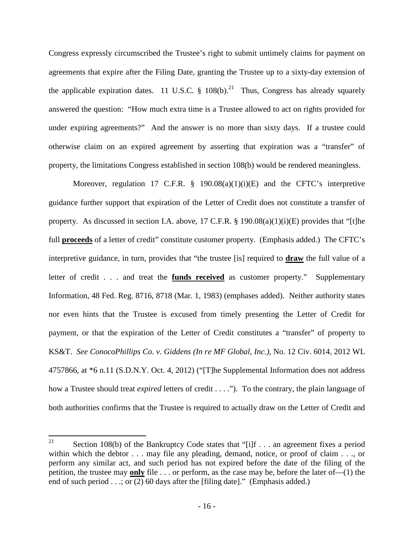Congress expressly circumscribed the Trustee's right to submit untimely claims for payment on agreements that expire after the Filing Date, granting the Trustee up to a sixty-day extension of the applicable expiration dates. 11 U.S.C. § 108(b).<sup>21</sup> Thus, Congress has already squarely answered the question: "How much extra time is a Trustee allowed to act on rights provided for under expiring agreements?" And the answer is no more than sixty days. If a trustee could otherwise claim on an expired agreement by asserting that expiration was a "transfer" of property, the limitations Congress established in section 108(b) would be rendered meaningless.

Moreover, regulation 17 C.F.R.  $\S$  190.08(a)(1)(i)(E) and the CFTC's interpretive guidance further support that expiration of the Letter of Credit does not constitute a transfer of property. As discussed in section I.A. above, 17 C.F.R. § 190.08(a)(1)(i)(E) provides that "[t]he full **proceeds** of a letter of credit" constitute customer property. (Emphasis added.) The CFTC's interpretive guidance, in turn, provides that "the trustee [is] required to **draw** the full value of a letter of credit . . . and treat the **funds received** as customer property." Supplementary Information, 48 Fed. Reg. 8716, 8718 (Mar. 1, 1983) (emphases added). Neither authority states nor even hints that the Trustee is excused from timely presenting the Letter of Credit for payment, or that the expiration of the Letter of Credit constitutes a "transfer" of property to KS&T. *See ConocoPhillips Co. v. Giddens (In re MF Global, Inc.)*, No. 12 Civ. 6014, 2012 WL 4757866, at \*6 n.11 (S.D.N.Y. Oct. 4, 2012) ("[T]he Supplemental Information does not address how a Trustee should treat *expired* letters of credit . . . ."). To the contrary, the plain language of both authorities confirms that the Trustee is required to actually draw on the Letter of Credit and

<sup>&</sup>lt;sup>21</sup> Section 108(b) of the Bankruptcy Code states that "[i]f  $\ldots$  an agreement fixes a period within which the debtor . . . may file any pleading, demand, notice, or proof of claim . . ., or perform any similar act, and such period has not expired before the date of the filing of the petition, the trustee may **only** file . . . or perform, as the case may be, before the later of—(1) the end of such period . . .; or (2) 60 days after the [filing date]." (Emphasis added.)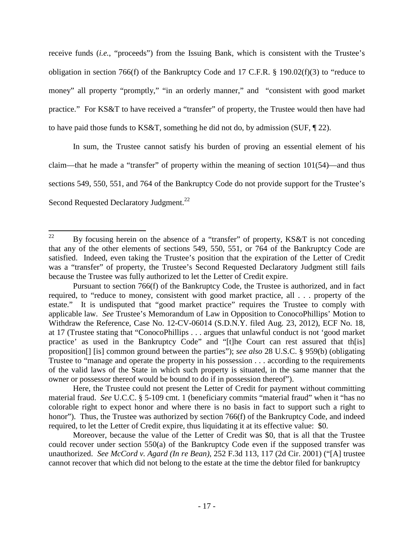receive funds (*i.e.*, "proceeds") from the Issuing Bank, which is consistent with the Trustee's obligation in section 766(f) of the Bankruptcy Code and 17 C.F.R. § 190.02(f)(3) to "reduce to money" all property "promptly," "in an orderly manner," and "consistent with good market practice." For KS&T to have received a "transfer" of property, the Trustee would then have had to have paid those funds to KS&T, something he did not do, by admission (SUF, ¶ 22).

In sum, the Trustee cannot satisfy his burden of proving an essential element of his claim—that he made a "transfer" of property within the meaning of section 101(54)—and thus sections 549, 550, 551, and 764 of the Bankruptcy Code do not provide support for the Trustee's Second Requested Declaratory Judgment.<sup>22</sup>

<sup>&</sup>lt;sup>22</sup> By focusing herein on the absence of a "transfer" of property, KS&T is not conceding that any of the other elements of sections 549, 550, 551, or 764 of the Bankruptcy Code are satisfied. Indeed, even taking the Trustee's position that the expiration of the Letter of Credit was a "transfer" of property, the Trustee's Second Requested Declaratory Judgment still fails because the Trustee was fully authorized to let the Letter of Credit expire.

Pursuant to section 766(f) of the Bankruptcy Code, the Trustee is authorized, and in fact required, to "reduce to money, consistent with good market practice, all . . . property of the estate." It is undisputed that "good market practice" requires the Trustee to comply with applicable law. *See* Trustee's Memorandum of Law in Opposition to ConocoPhillips' Motion to Withdraw the Reference, Case No. 12-CV-06014 (S.D.N.Y. filed Aug. 23, 2012), ECF No. 18, at 17 (Trustee stating that "ConocoPhillips . . . argues that unlawful conduct is not 'good market practice' as used in the Bankruptcy Code" and "[t]he Court can rest assured that th[is] proposition[] [is] common ground between the parties"); *see also* 28 U.S.C. § 959(b) (obligating Trustee to "manage and operate the property in his possession . . . according to the requirements of the valid laws of the State in which such property is situated, in the same manner that the owner or possessor thereof would be bound to do if in possession thereof").

Here, the Trustee could not present the Letter of Credit for payment without committing material fraud. *See* U.C.C. § 5-109 cmt. 1 (beneficiary commits "material fraud" when it "has no colorable right to expect honor and where there is no basis in fact to support such a right to honor"). Thus, the Trustee was authorized by section 766(f) of the Bankruptcy Code, and indeed required, to let the Letter of Credit expire, thus liquidating it at its effective value: \$0.

Moreover, because the value of the Letter of Credit was \$0, that is all that the Trustee could recover under section 550(a) of the Bankruptcy Code even if the supposed transfer was unauthorized. *See McCord v. Agard (In re Bean)*, 252 F.3d 113, 117 (2d Cir. 2001) ("[A] trustee cannot recover that which did not belong to the estate at the time the debtor filed for bankruptcy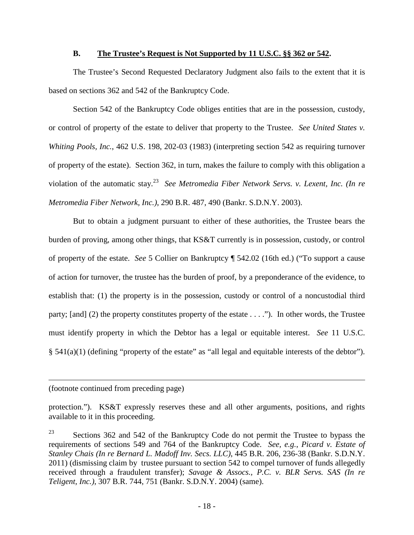#### **B. The Trustee's Request is Not Supported by 11 U.S.C. §§ 362 or 542.**

The Trustee's Second Requested Declaratory Judgment also fails to the extent that it is based on sections 362 and 542 of the Bankruptcy Code.

Section 542 of the Bankruptcy Code obliges entities that are in the possession, custody, or control of property of the estate to deliver that property to the Trustee. *See United States v. Whiting Pools, Inc.*, 462 U.S. 198, 202-03 (1983) (interpreting section 542 as requiring turnover of property of the estate). Section 362, in turn, makes the failure to comply with this obligation a violation of the automatic stay.<sup>23</sup> *See Metromedia Fiber Network Servs. v. Lexent, Inc. (In re Metromedia Fiber Network, Inc.)*, 290 B.R. 487, 490 (Bankr. S.D.N.Y. 2003).

But to obtain a judgment pursuant to either of these authorities, the Trustee bears the burden of proving, among other things, that KS&T currently is in possession, custody, or control of property of the estate. *See* 5 Collier on Bankruptcy ¶ 542.02 (16th ed.) ("To support a cause of action for turnover, the trustee has the burden of proof, by a preponderance of the evidence, to establish that: (1) the property is in the possession, custody or control of a noncustodial third party; [and] (2) the property constitutes property of the estate  $\dots$ ."). In other words, the Trustee must identify property in which the Debtor has a legal or equitable interest. *See* 11 U.S.C. § 541(a)(1) (defining "property of the estate" as "all legal and equitable interests of the debtor").

(footnote continued from preceding page)

protection."). KS&T expressly reserves these and all other arguments, positions, and rights available to it in this proceeding.

 $23$  Sections 362 and 542 of the Bankruptcy Code do not permit the Trustee to bypass the requirements of sections 549 and 764 of the Bankruptcy Code. *See, e.g.*, *Picard v. Estate of Stanley Chais (In re Bernard L. Madoff Inv. Secs. LLC)*, 445 B.R. 206, 236-38 (Bankr. S.D.N.Y. 2011) (dismissing claim by trustee pursuant to section 542 to compel turnover of funds allegedly received through a fraudulent transfer); *Savage & Assocs., P.C. v. BLR Servs. SAS (In re Teligent, Inc.)*, 307 B.R. 744, 751 (Bankr. S.D.N.Y. 2004) (same).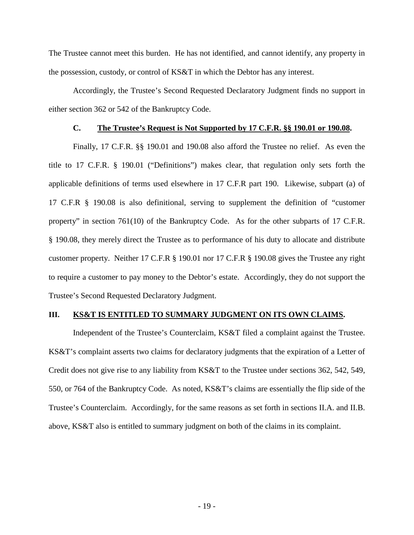The Trustee cannot meet this burden. He has not identified, and cannot identify, any property in the possession, custody, or control of KS&T in which the Debtor has any interest.

Accordingly, the Trustee's Second Requested Declaratory Judgment finds no support in either section 362 or 542 of the Bankruptcy Code.

#### **C. The Trustee's Request is Not Supported by 17 C.F.R. §§ 190.01 or 190.08.**

Finally, 17 C.F.R. §§ 190.01 and 190.08 also afford the Trustee no relief. As even the title to 17 C.F.R. § 190.01 ("Definitions") makes clear, that regulation only sets forth the applicable definitions of terms used elsewhere in 17 C.F.R part 190. Likewise, subpart (a) of 17 C.F.R § 190.08 is also definitional, serving to supplement the definition of "customer property" in section 761(10) of the Bankruptcy Code. As for the other subparts of 17 C.F.R. § 190.08, they merely direct the Trustee as to performance of his duty to allocate and distribute customer property. Neither 17 C.F.R § 190.01 nor 17 C.F.R § 190.08 gives the Trustee any right to require a customer to pay money to the Debtor's estate. Accordingly, they do not support the Trustee's Second Requested Declaratory Judgment.

#### **III. KS&T IS ENTITLED TO SUMMARY JUDGMENT ON ITS OWN CLAIMS.**

Independent of the Trustee's Counterclaim, KS&T filed a complaint against the Trustee. KS&T's complaint asserts two claims for declaratory judgments that the expiration of a Letter of Credit does not give rise to any liability from KS&T to the Trustee under sections 362, 542, 549, 550, or 764 of the Bankruptcy Code. As noted, KS&T's claims are essentially the flip side of the Trustee's Counterclaim. Accordingly, for the same reasons as set forth in sections II.A. and II.B. above, KS&T also is entitled to summary judgment on both of the claims in its complaint.